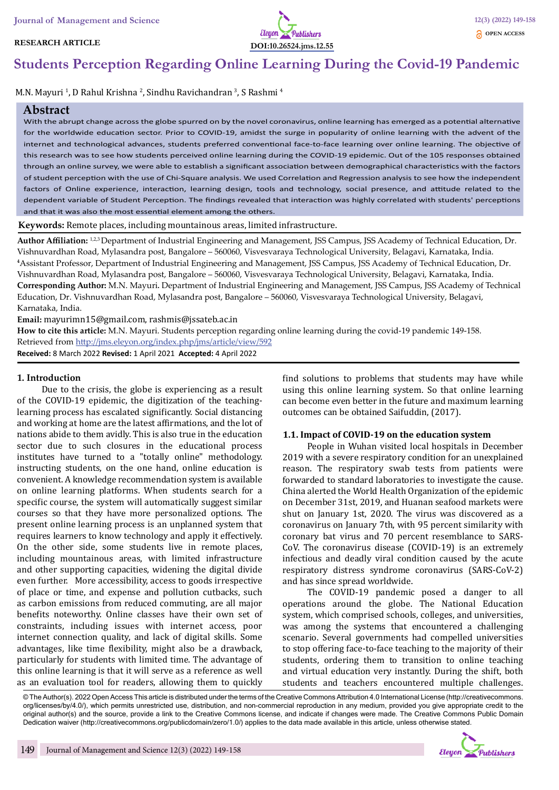#### **RESEARCH ARTICLE**



# **Students Perception Regarding Online Learning During the Covid-19 Pandemic**

M.N. Mayuri <sup>1</sup>, D Rahul Krishna <sup>2</sup>, Sindhu Ravichandran <sup>3</sup>, S Rashmi <sup>4</sup>

### **Abstract**

With the abrupt change across the globe spurred on by the novel coronavirus, online learning has emerged as a potential alternative for the worldwide education sector. Prior to COVID-19, amidst the surge in popularity of online learning with the advent of the internet and technological advances, students preferred conventional face-to-face learning over online learning. The objective of this research was to see how students perceived online learning during the COVID-19 epidemic. Out of the 105 responses obtained through an online survey, we were able to establish a significant association between demographical characteristics with the factors of student perception with the use of Chi-Square analysis. We used Correlation and Regression analysis to see how the independent factors of Online experience, interaction, learning design, tools and technology, social presence, and attitude related to the dependent variable of Student Perception. The findings revealed that interaction was highly correlated with students' perceptions and that it was also the most essential element among the others.

**Keywords:** Remote places, including mountainous areas, limited infrastructure.

**Author Affiliation:** 1,2,3 Department of Industrial Engineering and Management, JSS Campus, JSS Academy of Technical Education, Dr. Vishnuvardhan Road, Mylasandra post, Bangalore – 560060, Visvesvaraya Technological University, Belagavi, Karnataka, India. **4** Assistant Professor, Department of Industrial Engineering and Management, JSS Campus, JSS Academy of Technical Education, Dr. Vishnuvardhan Road, Mylasandra post, Bangalore – 560060, Visvesvaraya Technological University, Belagavi, Karnataka, India. **Corresponding Author:** M.N. Mayuri. Department of Industrial Engineering and Management, JSS Campus, JSS Academy of Technical Education, Dr. Vishnuvardhan Road, Mylasandra post, Bangalore – 560060, Visvesvaraya Technological University, Belagavi, Karnataka, India.

**Email:** mayurimn15@gmail.com, rashmis@jssateb.ac.in

**How to cite this article:** M.N. Mayuri. Students perception regarding online learning during the covid-19 pandemic 149-158. Retrieved from http://jms.eleyon.org/index.php/jms/article/view/592 **Received:** 8 March 2022 **Revised:** 1 April 2021 **Accepted:** 4 April 2022

### **1. Introduction**

Due to the crisis, the globe is experiencing as a result of the COVID-19 epidemic, the digitization of the teachinglearning process has escalated significantly. Social distancing and working at home are the latest affirmations, and the lot of nations abide to them avidly. This is also true in the education sector due to such closures in the educational process institutes have turned to a "totally online" methodology. instructing students, on the one hand, online education is convenient. A knowledge recommendation system is available on online learning platforms. When students search for a specific course, the system will automatically suggest similar courses so that they have more personalized options. The present online learning process is an unplanned system that requires learners to know technology and apply it effectively. On the other side, some students live in remote places, including mountainous areas, with limited infrastructure and other supporting capacities, widening the digital divide even further. More accessibility, access to goods irrespective of place or time, and expense and pollution cutbacks, such as carbon emissions from reduced commuting, are all major benefits noteworthy. Online classes have their own set of constraints, including issues with internet access, poor internet connection quality, and lack of digital skills. Some advantages, like time flexibility, might also be a drawback, particularly for students with limited time. The advantage of this online learning is that it will serve as a reference as well as an evaluation tool for readers, allowing them to quickly

find solutions to problems that students may have while using this online learning system. So that online learning can become even better in the future and maximum learning outcomes can be obtained Saifuddin, (2017).

### **1.1. Impact of COVID-19 on the education system**

People in Wuhan visited local hospitals in December 2019 with a severe respiratory condition for an unexplained reason. The respiratory swab tests from patients were forwarded to standard laboratories to investigate the cause. China alerted the World Health Organization of the epidemic on December 31st, 2019, and Huanan seafood markets were shut on January 1st, 2020. The virus was discovered as a coronavirus on January 7th, with 95 percent similarity with coronary bat virus and 70 percent resemblance to SARS-CoV. The coronavirus disease (COVID-19) is an extremely infectious and deadly viral condition caused by the acute respiratory distress syndrome coronavirus (SARS-CoV-2) and has since spread worldwide.

The COVID-19 pandemic posed a danger to all operations around the globe. The National Education system, which comprised schools, colleges, and universities, was among the systems that encountered a challenging scenario. Several governments had compelled universities to stop offering face-to-face teaching to the majority of their students, ordering them to transition to online teaching and virtual education very instantly. During the shift, both students and teachers encountered multiple challenges.

© The Author(s). 2022 Open Access This article is distributed under the terms of the Creative Commons Attribution 4.0 International License (http://creativecommons. org/licenses/by/4.0/), which permits unrestricted use, distribution, and non-commercial reproduction in any medium, provided you give appropriate credit to the original author(s) and the source, provide a link to the Creative Commons license, and indicate if changes were made. The Creative Commons Public Domain Dedication waiver (http://creativecommons.org/publicdomain/zero/1.0/) applies to the data made available in this article, unless otherwise stated.

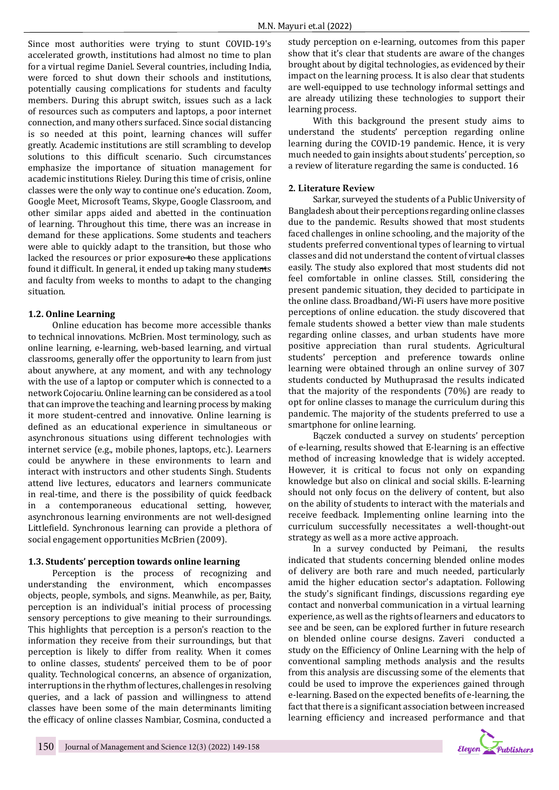Since most authorities were trying to stunt COVID-19's accelerated growth, institutions had almost no time to plan for a virtual regime Daniel. Several countries, including India, were forced to shut down their schools and institutions, potentially causing complications for students and faculty members. During this abrupt switch, issues such as a lack of resources such as computers and laptops, a poor internet connection, and many others surfaced. Since social distancing is so needed at this point, learning chances will suffer greatly. Academic institutions are still scrambling to develop solutions to this difficult scenario. Such circumstances emphasize the importance of situation management for academic institutions Rieley. During this time of crisis, online classes were the only way to continue one's education. Zoom, Google Meet, Microsoft Teams, Skype, Google Classroom, and other similar apps aided and abetted in the continuation of learning. Throughout this time, there was an increase in demand for these applications. Some students and teachers were able to quickly adapt to the transition, but those who lacked the resources or prior exposure $\pm$ o these applications found it difficult. In general, it ended up taking many students and faculty from weeks to months to adapt to the changing situation.

## **1.2. Online Learning**

Online education has become more accessible thanks to technical innovations. McBrien. Most terminology, such as online learning, e-learning, web-based learning, and virtual classrooms, generally offer the opportunity to learn from just about anywhere, at any moment, and with any technology with the use of a laptop or computer which is connected to a network Cojocariu. Online learning can be considered as a tool that can improve the teaching and learning process by making it more student-centred and innovative. Online learning is defined as an educational experience in simultaneous or asynchronous situations using different technologies with internet service (e.g., mobile phones, laptops, etc.). Learners could be anywhere in these environments to learn and interact with instructors and other students Singh. Students attend live lectures, educators and learners communicate in real-time, and there is the possibility of quick feedback in a contemporaneous educational setting, however, asynchronous learning environments are not well-designed Littlefield. Synchronous learning can provide a plethora of social engagement opportunities McBrien (2009).

## **1.3. Students' perception towards online learning**

Perception is the process of recognizing and understanding the environment, which encompasses objects, people, symbols, and signs. Meanwhile, as per, Baity, perception is an individual's initial process of processing sensory perceptions to give meaning to their surroundings. This highlights that perception is a person's reaction to the information they receive from their surroundings, but that perception is likely to differ from reality. When it comes to online classes, students' perceived them to be of poor quality. Technological concerns, an absence of organization, interruptions in the rhythm of lectures, challenges in resolving queries, and a lack of passion and willingness to attend classes have been some of the main determinants limiting the efficacy of online classes Nambiar, Cosmina, conducted a study perception on e-learning, outcomes from this paper show that it's clear that students are aware of the changes brought about by digital technologies, as evidenced by their impact on the learning process. It is also clear that students are well-equipped to use technology informal settings and are already utilizing these technologies to support their learning process.

With this background the present study aims to understand the students' perception regarding online learning during the COVID-19 pandemic. Hence, it is very much needed to gain insights about students' perception, so a review of literature regarding the same is conducted. 16

## **2. Literature Review**

Sarkar, surveyed the students of a Public University of Bangladesh about their perceptions regarding online classes due to the pandemic. Results showed that most students faced challenges in online schooling, and the majority of the students preferred conventional types of learning to virtual classes and did not understand the content of virtual classes easily. The study also explored that most students did not feel comfortable in online classes. Still, considering the present pandemic situation, they decided to participate in the online class. Broadband/Wi-Fi users have more positive perceptions of online education. the study discovered that female students showed a better view than male students regarding online classes, and urban students have more positive appreciation than rural students. Agricultural students' perception and preference towards online learning were obtained through an online survey of 307 students conducted by Muthuprasad the results indicated that the majority of the respondents (70%) are ready to opt for online classes to manage the curriculum during this pandemic. The majority of the students preferred to use a smartphone for online learning.

Bączek conducted a survey on students' perception of e-learning, results showed that E-learning is an effective method of increasing knowledge that is widely accepted. However, it is critical to focus not only on expanding knowledge but also on clinical and social skills. E-learning should not only focus on the delivery of content, but also on the ability of students to interact with the materials and receive feedback. Implementing online learning into the curriculum successfully necessitates a well-thought-out strategy as well as a more active approach.

In a survey conducted by Peimani, the results indicated that students concerning blended online modes of delivery are both rare and much needed, particularly amid the higher education sector's adaptation. Following the study's significant findings, discussions regarding eye contact and nonverbal communication in a virtual learning experience, as well as the rights of learners and educators to see and be seen, can be explored further in future research on blended online course designs. Zaveri conducted a study on the Efficiency of Online Learning with the help of conventional sampling methods analysis and the results from this analysis are discussing some of the elements that could be used to improve the experiences gained through e-learning. Based on the expected benefits of e-learning, the fact that there is a significant association between increased learning efficiency and increased performance and that

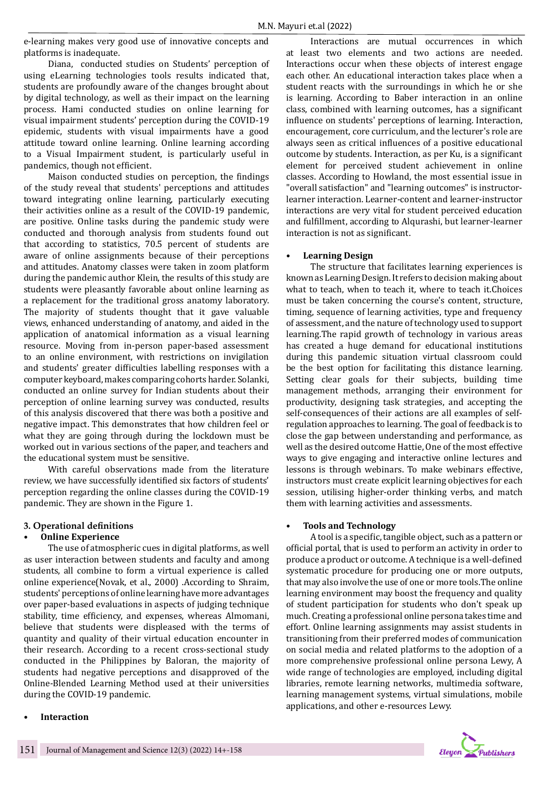e-learning makes very good use of innovative concepts and platforms is inadequate.

Diana, conducted studies on Students' perception of using eLearning technologies tools results indicated that, students are profoundly aware of the changes brought about by digital technology, as well as their impact on the learning process. Hami conducted studies on online learning for visual impairment students' perception during the COVID-19 epidemic, students with visual impairments have a good attitude toward online learning. Online learning according to a Visual Impairment student, is particularly useful in pandemics, though not efficient.

Maison conducted studies on perception, the findings of the study reveal that students' perceptions and attitudes toward integrating online learning, particularly executing their activities online as a result of the COVID-19 pandemic, are positive. Online tasks during the pandemic study were conducted and thorough analysis from students found out that according to statistics, 70.5 percent of students are aware of online assignments because of their perceptions and attitudes. Anatomy classes were taken in zoom platform during the pandemic author Klein, the results of this study are students were pleasantly favorable about online learning as a replacement for the traditional gross anatomy laboratory. The majority of students thought that it gave valuable views, enhanced understanding of anatomy, and aided in the application of anatomical information as a visual learning resource. Moving from in-person paper-based assessment to an online environment, with restrictions on invigilation and students' greater difficulties labelling responses with a computer keyboard, makes comparing cohorts harder. Solanki, conducted an online survey for Indian students about their perception of online learning survey was conducted, results of this analysis discovered that there was both a positive and negative impact. This demonstrates that how children feel or what they are going through during the lockdown must be worked out in various sections of the paper, and teachers and the educational system must be sensitive.

With careful observations made from the literature review, we have successfully identified six factors of students' perception regarding the online classes during the COVID-19 pandemic. They are shown in the Figure 1.

### **3. Operational definitions**

#### **• Online Experience**

The use of atmospheric cues in digital platforms, as well as user interaction between students and faculty and among students, all combine to form a virtual experience is called online experience(Novak, et al., 2000) .According to Shraim, students' perceptions of online learning have more advantages over paper-based evaluations in aspects of judging technique stability, time efficiency, and expenses, whereas Almomani, believe that students were displeased with the terms of quantity and quality of their virtual education encounter in their research. According to a recent cross-sectional study conducted in the Philippines by Baloran, the majority of students had negative perceptions and disapproved of the Online-Blended Learning Method used at their universities during the COVID-19 pandemic.

Interactions are mutual occurrences in which at least two elements and two actions are needed. Interactions occur when these objects of interest engage each other. An educational interaction takes place when a student reacts with the surroundings in which he or she is learning. According to Baber interaction in an online class, combined with learning outcomes, has a significant influence on students' perceptions of learning. Interaction, encouragement, core curriculum, and the lecturer's role are always seen as critical influences of a positive educational outcome by students. Interaction, as per Ku, is a significant element for perceived student achievement in online classes. According to Howland, the most essential issue in "overall satisfaction" and "learning outcomes" is instructorlearner interaction. Learner-content and learner-instructor interactions are very vital for student perceived education and fulfillment, according to Alqurashi, but learner-learner interaction is not as significant.

#### **• Learning Design**

The structure that facilitates learning experiences is known as Learning Design. It refers to decision making about what to teach, when to teach it, where to teach it.Choices must be taken concerning the course's content, structure, timing, sequence of learning activities, type and frequency of assessment, and the nature of technology used to support learning.The rapid growth of technology in various areas has created a huge demand for educational institutions during this pandemic situation virtual classroom could be the best option for facilitating this distance learning. Setting clear goals for their subjects, building time management methods, arranging their environment for productivity, designing task strategies, and accepting the self-consequences of their actions are all examples of selfregulation approaches to learning. The goal of feedback is to close the gap between understanding and performance, as well as the desired outcome Hattie, One of the most effective ways to give engaging and interactive online lectures and lessons is through webinars. To make webinars effective, instructors must create explicit learning objectives for each session, utilising higher-order thinking verbs, and match them with learning activities and assessments.

#### **• Tools and Technology**

A tool is a specific, tangible object, such as a pattern or official portal, that is used to perform an activity in order to produce a product or outcome. A technique is a well-defined systematic procedure for producing one or more outputs, that may also involve the use of one or more tools.The online learning environment may boost the frequency and quality of student participation for students who don't speak up much. Creating a professional online persona takes time and effort. Online learning assignments may assist students in transitioning from their preferred modes of communication on social media and related platforms to the adoption of a more comprehensive professional online persona Lewy, A wide range of technologies are employed, including digital libraries, remote learning networks, multimedia software, learning management systems, virtual simulations, mobile applications, and other e-resources Lewy.



## **• Interaction**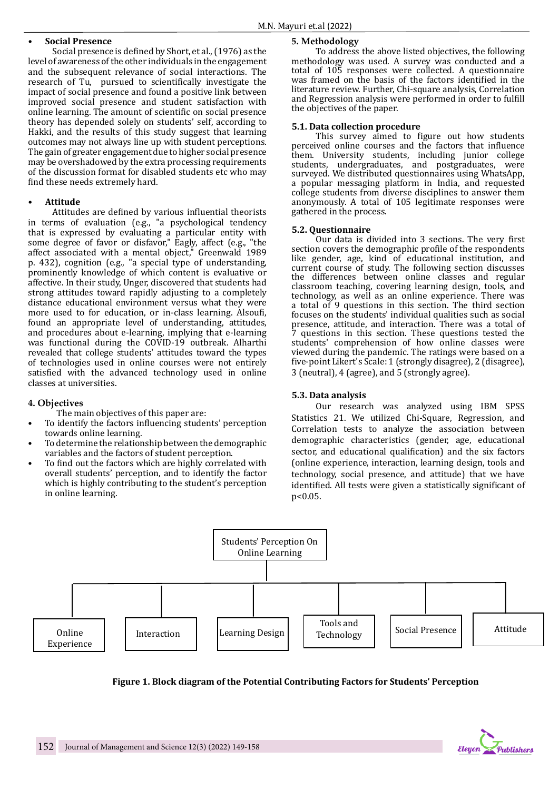## **• Social Presence**

Social presence is defined by Short, et al., (1976) as the level of awareness of the other individuals in the engagement and the subsequent relevance of social interactions. The research of Tu, pursued to scientifically investigate the impact of social presence and found a positive link between improved social presence and student satisfaction with online learning. The amount of scientific on social presence theory has depended solely on students' self, according to Hakki, and the results of this study suggest that learning outcomes may not always line up with student perceptions. The gain of greater engagement due to higher social presence may be overshadowed by the extra processing requirements of the discussion format for disabled students etc who may find these needs extremely hard.

### **• Attitude**

Attitudes are defined by various influential theorists in terms of evaluation (e.g., "a psychological tendency that is expressed by evaluating a particular entity with some degree of favor or disfavor," Eagly, affect (e.g., "the affect associated with a mental object," Greenwald 1989 p. 432), cognition (e.g., "a special type of understanding, prominently knowledge of which content is evaluative or affective. In their study, Unger, discovered that students had strong attitudes toward rapidly adjusting to a completely distance educational environment versus what they were more used to for education, or in-class learning. Alsoufi, found an appropriate level of understanding, attitudes, and procedures about e-learning, implying that e-learning was functional during the COVID-19 outbreak. Alharthi revealed that college students' attitudes toward the types of technologies used in online courses were not entirely satisfied with the advanced technology used in online classes at universities.

### **4. Objectives**

- The main objectives of this paper are:
- To identify the factors influencing students' perception towards online learning.
- To determine the relationship between the demographic variables and the factors of student perception.
- To find out the factors which are highly correlated with overall students' perception, and to identify the factor which is highly contributing to the student's perception in online learning.

## **5. Methodology**

To address the above listed objectives, the following methodology was used. A survey was conducted and a total of 105 responses were collected. A questionnaire was framed on the basis of the factors identified in the literature review. Further, Chi-square analysis, Correlation and Regression analysis were performed in order to fulfill the objectives of the paper.

## **5.1. Data collection procedure**

This survey aimed to figure out how students perceived online courses and the factors that influence them. University students, including junior college students, undergraduates, and postgraduates, were surveyed. We distributed questionnaires using WhatsApp, a popular messaging platform in India, and requested college students from diverse disciplines to answer them anonymously. A total of 105 legitimate responses were gathered in the process.

### **5.2. Questionnaire**

Our data is divided into 3 sections. The very first section covers the demographic profile of the respondents like gender, age, kind of educational institution, and current course of study. The following section discusses the differences between online classes and regular classroom teaching, covering learning design, tools, and technology, as well as an online experience. There was a total of 9 questions in this section. The third section focuses on the students' individual qualities such as social presence, attitude, and interaction. There was a total of 7 questions in this section. These questions tested the students' comprehension of how online classes were viewed during the pandemic. The ratings were based on a five-point Likert's Scale: 1 (strongly disagree), 2 (disagree), 3 (neutral), 4 (agree), and 5 (strongly agree).

## **5.3. Data analysis**

Our research was analyzed using IBM SPSS Statistics 21. We utilized Chi-Square, Regression, and Correlation tests to analyze the association between demographic characteristics (gender, age, educational sector, and educational qualification) and the six factors (online experience, interaction, learning design, tools and technology, social presence, and attitude) that we have identified. All tests were given a statistically significant of p<0.05.



**Figure 1. Block diagram of the Potential Contributing Factors for Students' Perception**

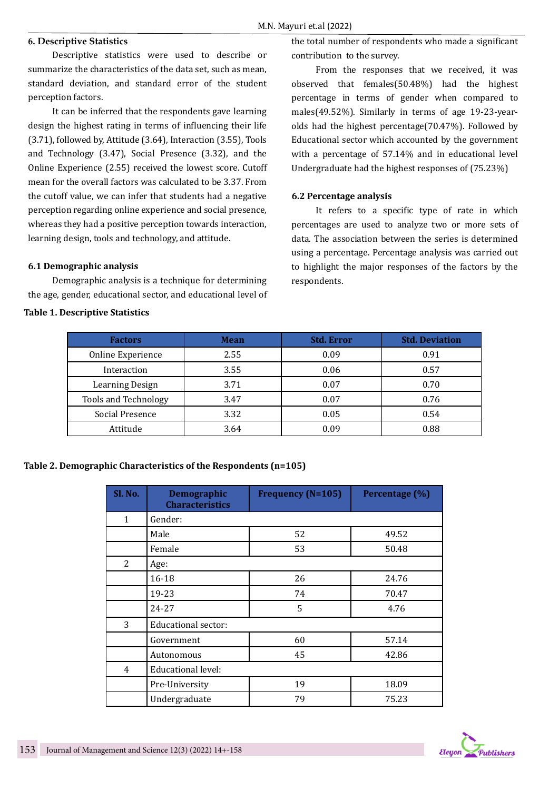## **6. Descriptive Statistics**

Descriptive statistics were used to describe or summarize the characteristics of the data set, such as mean, standard deviation, and standard error of the student perception factors.

It can be inferred that the respondents gave learning design the highest rating in terms of influencing their life (3.71), followed by, Attitude (3.64), Interaction (3.55), Tools and Technology (3.47), Social Presence (3.32), and the Online Experience (2.55) received the lowest score. Cutoff mean for the overall factors was calculated to be 3.37. From the cutoff value, we can infer that students had a negative perception regarding online experience and social presence, whereas they had a positive perception towards interaction, learning design, tools and technology, and attitude.

## **6.1 Demographic analysis**

Demographic analysis is a technique for determining the age, gender, educational sector, and educational level of

## **Table 1. Descriptive Statistics**

the total number of respondents who made a significant contribution to the survey.

From the responses that we received, it was observed that females(50.48%) had the highest percentage in terms of gender when compared to males(49.52%). Similarly in terms of age 19-23-yearolds had the highest percentage(70.47%). Followed by Educational sector which accounted by the government with a percentage of 57.14% and in educational level Undergraduate had the highest responses of (75.23%)

## **6.2 Percentage analysis**

It refers to a specific type of rate in which percentages are used to analyze two or more sets of data. The association between the series is determined using a percentage. Percentage analysis was carried out to highlight the major responses of the factors by the respondents.

| <b>Factors</b>         | <b>Mean</b> | <b>Std. Error</b> | <b>Std. Deviation</b> |  |
|------------------------|-------------|-------------------|-----------------------|--|
| Online Experience      | 2.55        | 0.09              | 0.91                  |  |
| Interaction            | 3.55        | 0.06              | 0.57                  |  |
| <b>Learning Design</b> | 3.71        | 0.07              | 0.70                  |  |
| Tools and Technology   | 3.47        | 0.07              | 0.76                  |  |
| Social Presence        | 3.32        | 0.05              | 0.54                  |  |
| Attitude               | 3.64        | 0.09              | 0.88                  |  |

## **Table 2. Demographic Characteristics of the Respondents (n=105)**

| Sl. No. | Demographic<br><b>Characteristics</b> | <b>Frequency (N=105)</b> | Percentage <sup>(%)</sup> |
|---------|---------------------------------------|--------------------------|---------------------------|
| 1       | Gender:                               |                          |                           |
|         | Male                                  | 52                       | 49.52                     |
|         | Female                                | 53                       | 50.48                     |
| 2       | Age:                                  |                          |                           |
|         | 16-18                                 | 26                       | 24.76                     |
|         | 19-23<br>74                           |                          | 70.47                     |
|         | 24-27                                 | 5                        | 4.76                      |
| 3       | Educational sector:                   |                          |                           |
|         | Government                            | 60                       | 57.14                     |
|         | Autonomous                            | 45                       | 42.86                     |
| 4       | <b>Educational level:</b>             |                          |                           |
|         | Pre-University                        | 19                       | 18.09                     |
|         | Undergraduate                         | 79                       | 75.23                     |

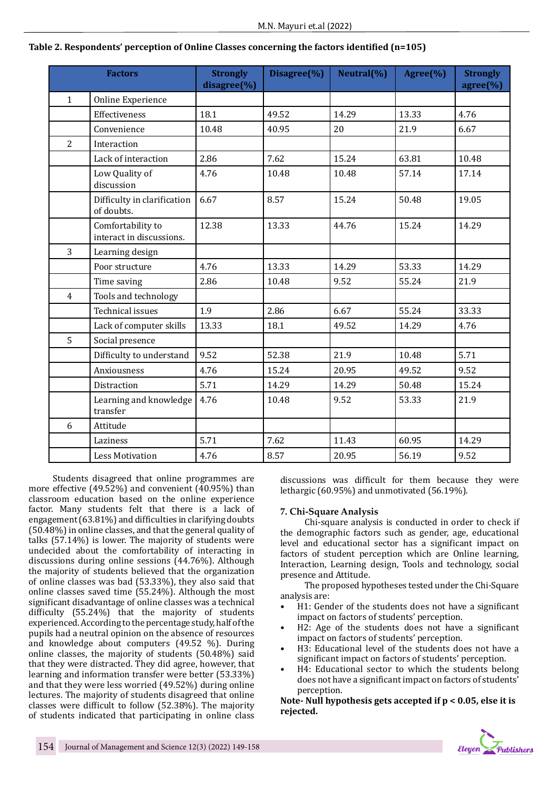|                | <b>Factors</b>                                | <b>Strongly</b><br>disagree(%) | Disagree(%) | Neutral(%) | Agree $(\% )$ | <b>Strongly</b><br>agree(%) |
|----------------|-----------------------------------------------|--------------------------------|-------------|------------|---------------|-----------------------------|
| $\mathbf{1}$   | Online Experience                             |                                |             |            |               |                             |
|                | Effectiveness                                 | 18.1                           | 49.52       | 14.29      | 13.33         | 4.76                        |
|                | Convenience                                   | 10.48                          | 40.95       | 20         | 21.9          | 6.67                        |
| $\overline{2}$ | Interaction                                   |                                |             |            |               |                             |
|                | Lack of interaction                           | 2.86                           | 7.62        | 15.24      | 63.81         | 10.48                       |
|                | Low Quality of<br>discussion                  | 4.76                           | 10.48       | 10.48      | 57.14         | 17.14                       |
|                | Difficulty in clarification<br>of doubts.     | 6.67                           | 8.57        | 15.24      | 50.48         | 19.05                       |
|                | Comfortability to<br>interact in discussions. | 12.38                          | 13.33       | 44.76      | 15.24         | 14.29                       |
| 3              | Learning design                               |                                |             |            |               |                             |
|                | Poor structure                                | 4.76                           | 13.33       | 14.29      | 53.33         | 14.29                       |
|                | Time saving                                   | 2.86                           | 10.48       | 9.52       | 55.24         | 21.9                        |
| $\overline{4}$ | Tools and technology                          |                                |             |            |               |                             |
|                | <b>Technical issues</b>                       | 1.9                            | 2.86        | 6.67       | 55.24         | 33.33                       |
|                | Lack of computer skills                       | 13.33                          | 18.1        | 49.52      | 14.29         | 4.76                        |
| 5              | Social presence                               |                                |             |            |               |                             |
|                | Difficulty to understand                      | 9.52                           | 52.38       | 21.9       | 10.48         | 5.71                        |
|                | Anxiousness                                   | 4.76                           | 15.24       | 20.95      | 49.52         | 9.52                        |
|                | Distraction                                   | 5.71                           | 14.29       | 14.29      | 50.48         | 15.24                       |
|                | Learning and knowledge<br>transfer            | 4.76                           | 10.48       | 9.52       | 53.33         | 21.9                        |
| 6              | Attitude                                      |                                |             |            |               |                             |
|                | Laziness                                      | 5.71                           | 7.62        | 11.43      | 60.95         | 14.29                       |
|                | <b>Less Motivation</b>                        | 4.76                           | 8.57        | 20.95      | 56.19         | 9.52                        |

## **Table 2. Respondents' perception of Online Classes concerning the factors identified (n=105)**

Students disagreed that online programmes are more effective (49.52%) and convenient (40.95%) than classroom education based on the online experience factor. Many students felt that there is a lack of engagement (63.81%) and difficulties in clarifying doubts (50.48%) in online classes, and that the general quality of talks (57.14%) is lower. The majority of students were undecided about the comfortability of interacting in discussions during online sessions (44.76%). Although the majority of students believed that the organization of online classes was bad (53.33%), they also said that online classes saved time (55.24%). Although the most significant disadvantage of online classes was a technical difficulty (55.24%) that the majority of students experienced. According to the percentage study, half of the pupils had a neutral opinion on the absence of resources and knowledge about computers (49.52 %). During online classes, the majority of students (50.48%) said that they were distracted. They did agree, however, that learning and information transfer were better (53.33%) and that they were less worried (49.52%) during online lectures. The majority of students disagreed that online classes were difficult to follow (52.38%). The majority of students indicated that participating in online class

discussions was difficult for them because they were lethargic (60.95%) and unmotivated (56.19%).

### **7. Chi-Square Analysis**

Chi-square analysis is conducted in order to check if the demographic factors such as gender, age, educational level and educational sector has a significant impact on factors of student perception which are Online learning, Interaction, Learning design, Tools and technology, social presence and Attitude.

The proposed hypotheses tested under the Chi-Square analysis are:

- H1: Gender of the students does not have a significant impact on factors of students' perception.
- H2: Age of the students does not have a significant impact on factors of students' perception.
- H3: Educational level of the students does not have a significant impact on factors of students' perception.
- H4: Educational sector to which the students belong does not have a significant impact on factors of students' perception.

**Note- Null hypothesis gets accepted if p < 0.05, else it is rejected.** 

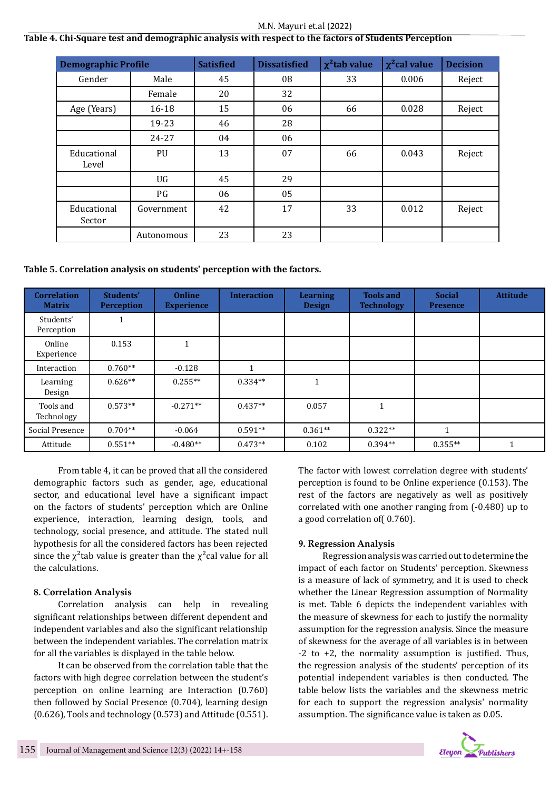#### M.N. Mayuri et.al (2022)

## **Table 4. Chi-Square test and demographic analysis with respect to the factors of Students Perception**

| <b>Demographic Profile</b> |            | <b>Satisfied</b> | <b>Dissatisfied</b> | $\chi^2$ tab value | $\chi^2$ cal value | <b>Decision</b> |
|----------------------------|------------|------------------|---------------------|--------------------|--------------------|-----------------|
| Gender                     | Male       | 45               | 08                  | 33                 | 0.006              | Reject          |
|                            | Female     | 20               | 32                  |                    |                    |                 |
| Age (Years)                | $16 - 18$  | 15               | 06                  | 66                 | 0.028              | Reject          |
|                            | 19-23      | 46               | 28                  |                    |                    |                 |
|                            | 24-27      | 04               | 06                  |                    |                    |                 |
| Educational<br>Level       | PU         | 13               | 07                  | 66                 | 0.043              | Reject          |
|                            | UG         | 45               | 29                  |                    |                    |                 |
|                            | PG         | 06               | 05                  |                    |                    |                 |
| Educational<br>Sector      | Government | 42               | 17                  | 33                 | 0.012              | Reject          |
|                            | Autonomous | 23               | 23                  |                    |                    |                 |

## **Table 5. Correlation analysis on students' perception with the factors.**

| <b>Correlation</b><br><b>Matrix</b> | Students'<br><b>Perception</b> | <b>Online</b><br><b>Experience</b> | <b>Interaction</b> | <b>Learning</b><br><b>Design</b> | <b>Tools and</b><br><b>Technology</b> | <b>Social</b><br><b>Presence</b> | <b>Attitude</b> |
|-------------------------------------|--------------------------------|------------------------------------|--------------------|----------------------------------|---------------------------------------|----------------------------------|-----------------|
| Students'<br>Perception             | $\blacktriangleleft$           |                                    |                    |                                  |                                       |                                  |                 |
| Online<br>Experience                | 0.153                          |                                    |                    |                                  |                                       |                                  |                 |
| Interaction                         | $0.760**$                      | $-0.128$                           | и                  |                                  |                                       |                                  |                 |
| Learning<br>Design                  | $0.626**$                      | $0.255**$                          | $0.334**$          | 1                                |                                       |                                  |                 |
| Tools and<br>Technology             | $0.573**$                      | $-0.271**$                         | $0.437**$          | 0.057                            | $\mathbf{1}$                          |                                  |                 |
| Social Presence                     | $0.704**$                      | $-0.064$                           | $0.591**$          | $0.361**$                        | $0.322**$                             | 1                                |                 |
| Attitude                            | $0.551**$                      | $-0.480**$                         | $0.473**$          | 0.102                            | $0.394**$                             | $0.355**$                        |                 |

From table 4, it can be proved that all the considered demographic factors such as gender, age, educational sector, and educational level have a significant impact on the factors of students' perception which are Online experience, interaction, learning design, tools, and technology, social presence, and attitude. The stated null hypothesis for all the considered factors has been rejected since the  $\chi^2$ tab value is greater than the  $\chi^2$ cal value for all the calculations.

## **8. Correlation Analysis**

Correlation analysis can help in revealing significant relationships between different dependent and independent variables and also the significant relationship between the independent variables. The correlation matrix for all the variables is displayed in the table below.

It can be observed from the correlation table that the factors with high degree correlation between the student's perception on online learning are Interaction (0.760) then followed by Social Presence (0.704), learning design (0.626), Tools and technology (0.573) and Attitude (0.551). The factor with lowest correlation degree with students' perception is found to be Online experience (0.153). The rest of the factors are negatively as well as positively correlated with one another ranging from (-0.480) up to a good correlation of( 0.760).

### **9. Regression Analysis**

Regression analysis was carried out to determine the impact of each factor on Students' perception. Skewness is a measure of lack of symmetry, and it is used to check whether the Linear Regression assumption of Normality is met. Table 6 depicts the independent variables with the measure of skewness for each to justify the normality assumption for the regression analysis. Since the measure of skewness for the average of all variables is in between -2 to +2, the normality assumption is justified. Thus, the regression analysis of the students' perception of its potential independent variables is then conducted. The table below lists the variables and the skewness metric for each to support the regression analysis' normality assumption. The significance value is taken as 0.05.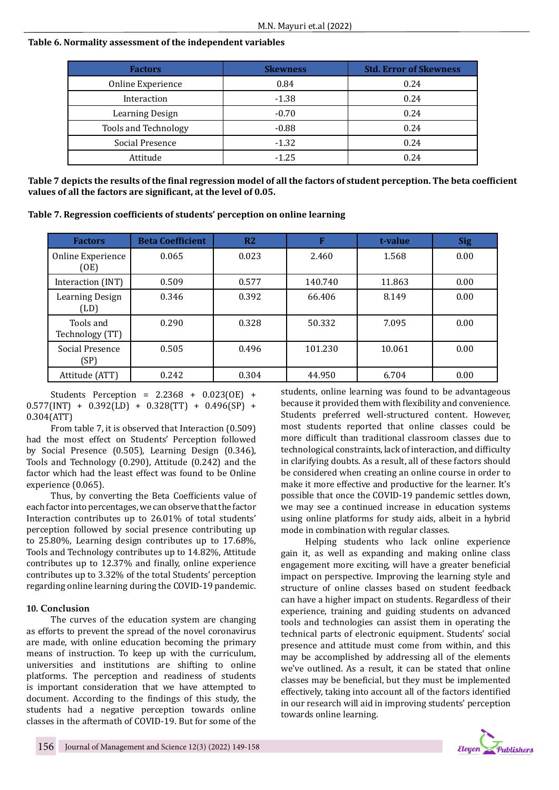## **Table 6. Normality assessment of the independent variables**

| <b>Factors</b>       | <b>Skewness</b> | <b>Std. Error of Skewness</b> |  |
|----------------------|-----------------|-------------------------------|--|
| Online Experience    | 0.84            | 0.24                          |  |
| Interaction          | $-1.38$         | 0.24                          |  |
| Learning Design      | $-0.70$         | 0.24                          |  |
| Tools and Technology | $-0.88$         | 0.24                          |  |
| Social Presence      | $-1.32$         | 0.24                          |  |
| Attitude             | $-1.25$         | 0.24                          |  |

**Table 7 depicts the results of the final regression model of all the factors of student perception. The beta coefficient values of all the factors are significant, at the level of 0.05.**

**Table 7. Regression coefficients of students' perception on online learning**

| <b>Factors</b>               | <b>Beta Coefficient</b> | R <sub>2</sub> | F       | t-value | <b>Sig</b> |
|------------------------------|-------------------------|----------------|---------|---------|------------|
| Online Experience<br>(OE)    | 0.065                   | 0.023          | 2.460   | 1.568   | 0.00       |
| Interaction (INT)            | 0.509                   | 0.577          | 140.740 | 11.863  | 0.00       |
| Learning Design<br>(LD)      | 0.346                   | 0.392          | 66.406  | 8.149   | 0.00       |
| Tools and<br>Technology (TT) | 0.290                   | 0.328          | 50.332  | 7.095   | 0.00       |
| Social Presence<br>(SP)      | 0.505                   | 0.496          | 101.230 | 10.061  | 0.00       |
| Attitude (ATT)               | 0.242                   | 0.304          | 44.950  | 6.704   | 0.00       |

Students Perception = 2.2368 + 0.023(OE) +  $0.577$ (INT) +  $0.392$ (LD) +  $0.328$ (TT) +  $0.496$ (SP) + 0.304(ATT)

From table 7, it is observed that Interaction (0.509) had the most effect on Students' Perception followed by Social Presence (0.505), Learning Design (0.346), Tools and Technology (0.290), Attitude (0.242) and the factor which had the least effect was found to be Online experience (0.065).

Thus, by converting the Beta Coefficients value of each factor into percentages, we can observe that the factor Interaction contributes up to 26.01% of total students' perception followed by social presence contributing up to 25.80%, Learning design contributes up to 17.68%, Tools and Technology contributes up to 14.82%, Attitude contributes up to 12.37% and finally, online experience contributes up to 3.32% of the total Students' perception regarding online learning during the COVID-19 pandemic.

## **10. Conclusion**

The curves of the education system are changing as efforts to prevent the spread of the novel coronavirus are made, with online education becoming the primary means of instruction. To keep up with the curriculum, universities and institutions are shifting to online platforms. The perception and readiness of students is important consideration that we have attempted to document. According to the findings of this study, the students had a negative perception towards online classes in the aftermath of COVID-19. But for some of the students, online learning was found to be advantageous because it provided them with flexibility and convenience. Students preferred well-structured content. However, most students reported that online classes could be more difficult than traditional classroom classes due to technological constraints, lack of interaction, and difficulty in clarifying doubts. As a result, all of these factors should be considered when creating an online course in order to make it more effective and productive for the learner. It's possible that once the COVID-19 pandemic settles down, we may see a continued increase in education systems using online platforms for study aids, albeit in a hybrid mode in combination with regular classes.

Helping students who lack online experience gain it, as well as expanding and making online class engagement more exciting, will have a greater beneficial impact on perspective. Improving the learning style and structure of online classes based on student feedback can have a higher impact on students. Regardless of their experience, training and guiding students on advanced tools and technologies can assist them in operating the technical parts of electronic equipment. Students' social presence and attitude must come from within, and this may be accomplished by addressing all of the elements we've outlined. As a result, it can be stated that online classes may be beneficial, but they must be implemented effectively, taking into account all of the factors identified in our research will aid in improving students' perception towards online learning.

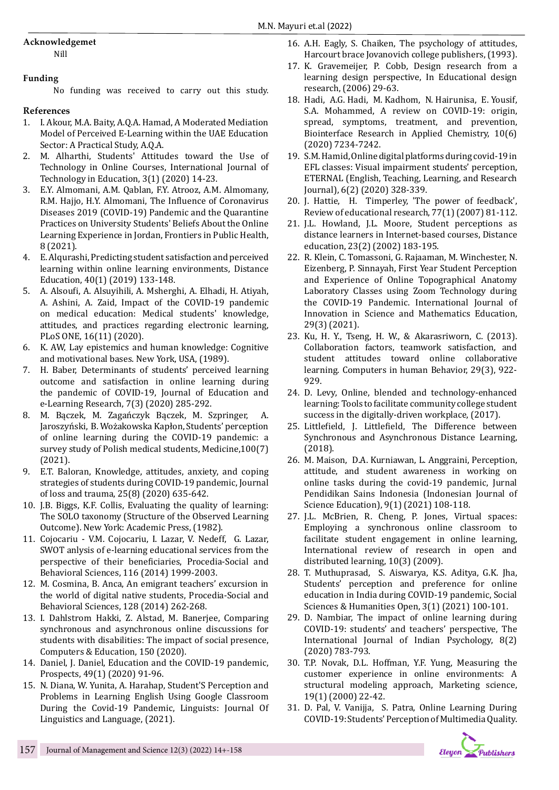# **Acknowledgemet**

Nill

## **Funding**

No funding was received to carry out this study.

# **References**

- 1. I. Akour, M.A. Baity, A.Q.A. Hamad, A Moderated Mediation Model of Perceived E-Learning within the UAE Education Sector: A Practical Study, A.Q.A.
- 2. M. Alharthi, Students' Attitudes toward the Use of Technology in Online Courses, International Journal of Technology in Education, 3(1) (2020) 14-23.
- 3. E.Y. Almomani, A.M. Qablan, F.Y. Atrooz, A.M. Almomany, R.M. Hajjo, H.Y. Almomani, The Influence of Coronavirus Diseases 2019 (COVID-19) Pandemic and the Quarantine Practices on University Students' Beliefs About the Online Learning Experience in Jordan, Frontiers in Public Health, 8 (2021).
- 4. E. Alqurashi, Predicting student satisfaction and perceived learning within online learning environments, Distance Education, 40(1) (2019) 133-148.
- 5. A. Alsoufi, A. Alsuyihili, A. Msherghi, A. Elhadi, H. Atiyah, A. Ashini, A. Zaid, Impact of the COVID-19 pandemic on medical education: Medical students' knowledge, attitudes, and practices regarding electronic learning, PLoS ONE, 16(11) (2020).
- 6. K. AW, Lay epistemics and human knowledge: Cognitive and motivational bases. New York, USA, (1989).
- 7. H. Baber, Determinants of students' perceived learning outcome and satisfaction in online learning during the pandemic of COVID-19, Journal of Education and e-Learning Research, 7(3) (2020) 285-292.
- 8. M. Bączek, M. Zagańczyk Bączek, M. Szpringer, A. Jaroszyński, B. Wożakowska Kapłon, Students' perception of online learning during the COVID-19 pandemic: a survey study of Polish medical students, Medicine,100(7) (2021).
- 9. E.T. Baloran, Knowledge, attitudes, anxiety, and coping strategies of students during COVID-19 pandemic, Journal of loss and trauma, 25(8) (2020) 635-642.
- 10. J.B. Biggs, K.F. Collis, Evaluating the quality of learning: The SOLO taxonomy (Structure of the Observed Learning Outcome). New York: Academic Press, (1982).
- 11. Cojocariu V.M. Cojocariu, I. Lazar, V. Nedeff, G. Lazar, SWOT anlysis of e-learning educational services from the perspective of their beneficiaries, Procedia-Social and Behavioral Sciences, 116 (2014) 1999-2003.
- 12. M. Cosmina, B. Anca, An emigrant teachers' excursion in the world of digital native students, Procedia-Social and Behavioral Sciences, 128 (2014) 262-268.
- 13. I. Dahlstrom Hakki, Z. Alstad, M. Banerjee, Comparing synchronous and asynchronous online discussions for students with disabilities: The impact of social presence, Computers & Education, 150 (2020).
- 14. Daniel, J. Daniel, Education and the COVID-19 pandemic, Prospects, 49(1) (2020) 91-96.
- 15. N. Diana, W. Yunita, A. Harahap, Student'S Perception and Problems in Learning English Using Google Classroom During the Covid-19 Pandemic, Linguists: Journal Of Linguistics and Language, (2021).
- 16. A.H. Eagly, S. Chaiken, The psychology of attitudes, Harcourt brace Jovanovich college publishers, (1993).
- 17. K. Gravemeijer, P. Cobb, Design research from a learning design perspective, In Educational design research, (2006) 29-63.
- 18. Hadi, A.G. Hadi, M. Kadhom, N. Hairunisa, E. Yousif, S.A. Mohammed, A review on COVID-19: origin, spread, symptoms, treatment, and prevention, Biointerface Research in Applied Chemistry, 10(6) (2020) 7234-7242.
- 19. S.M. Hamid, Online digital platforms during covid-19 in EFL classes: Visual impairment students' perception, ETERNAL (English, Teaching, Learning, and Research Journal), 6(2) (2020) 328-339.
- 20. J. Hattie, H. Timperley, 'The power of feedback', Review of educational research, 77(1) (2007) 81-112.
- 21. J.L. Howland, J.L. Moore, Student perceptions as distance learners in Internet-based courses, Distance education, 23(2) (2002) 183-195.
- 22. R. Klein, C. Tomassoni, G. Rajaaman, M. Winchester, N. Eizenberg, P. Sinnayah, First Year Student Perception and Experience of Online Topographical Anatomy Laboratory Classes using Zoom Technology during the COVID-19 Pandemic. International Journal of Innovation in Science and Mathematics Education, 29(3) (2021).
- 23. Ku, H. Y., Tseng, H. W., & Akarasriworn, C. (2013). Collaboration factors, teamwork satisfaction, and student attitudes toward online collaborative learning. Computers in human Behavior, 29(3), 922- 929.
- 24. D. Levy, Online, blended and technology-enhanced learning: Tools to facilitate community college student success in the digitally-driven workplace, (2017).
- 25. Littlefield, J. Littlefield, The Difference between Synchronous and Asynchronous Distance Learning, (2018).
- 26. M. Maison, D.A. Kurniawan, L. Anggraini, Perception, attitude, and student awareness in working on online tasks during the covid-19 pandemic, Jurnal Pendidikan Sains Indonesia (Indonesian Journal of Science Education), 9(1) (2021) 108-118.
- 27. J.L. McBrien, R. Cheng, P. Jones, Virtual spaces: Employing a synchronous online classroom to facilitate student engagement in online learning, International review of research in open and distributed learning, 10(3) (2009).
- 28. T. Muthuprasad, S. Aiswarya, K.S. Aditya, G.K. Jha, Students' perception and preference for online education in India during COVID-19 pandemic, Social Sciences & Humanities Open, 3(1) (2021) 100-101.
- 29. D. Nambiar, The impact of online learning during COVID-19: students' and teachers' perspective, The International Journal of Indian Psychology, 8(2) (2020) 783-793.
- 30. T.P. Novak, D.L. Hoffman, Y.F. Yung, Measuring the customer experience in online environments: A structural modeling approach, Marketing science, 19(1) (2000) 22-42.
- 31. D. Pal, V. Vanijja, S. Patra, Online Learning During COVID-19: Students' Perception of Multimedia Quality.